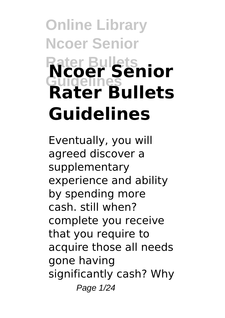# **Online Library Ncoer Senior Rater Bullets Guidelines Ncoer Senior Rater Bullets Guidelines**

Eventually, you will agreed discover a supplementary experience and ability by spending more cash. still when? complete you receive that you require to acquire those all needs gone having significantly cash? Why Page 1/24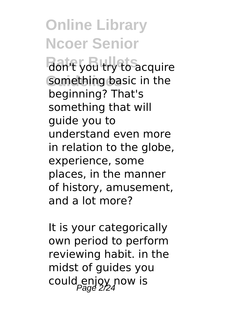Ran't you try to acquire something basic in the beginning? That's something that will guide you to understand even more in relation to the globe, experience, some places, in the manner of history, amusement, and a lot more?

It is your categorically own period to perform reviewing habit. in the midst of guides you could enjoy now is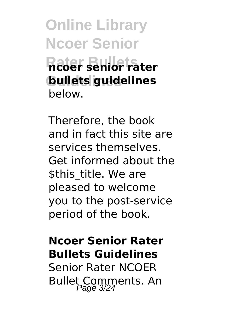**Online Library Ncoer Senior Rater Bullets ncoer senior rater Guidelines bullets guidelines** below.

Therefore, the book and in fact this site are services themselves. Get informed about the \$this\_title. We are pleased to welcome you to the post-service period of the book.

#### **Ncoer Senior Rater Bullets Guidelines**

Senior Rater NCOER Bullet Comments. An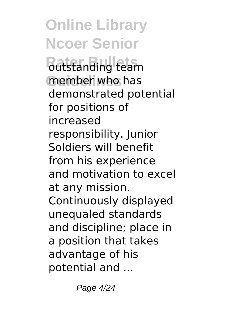*<u>Ratistanding</u>* team member who has demonstrated potential for positions of increased responsibility. Junior Soldiers will benefit from his experience and motivation to excel at any mission. Continuously displayed unequaled standards and discipline; place in a position that takes advantage of his potential and ...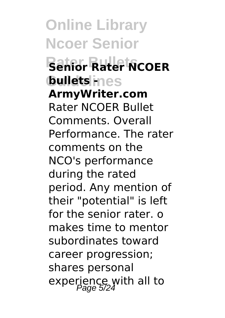**Online Library Ncoer Senior Rater Bullets Senior Rater NCOER bullets** ines **ArmyWriter.com** Rater NCOER Bullet Comments. Overall Performance. The rater comments on the NCO's performance during the rated period. Any mention of their "potential" is left for the senior rater. o makes time to mentor subordinates toward career progression; shares personal experience with all to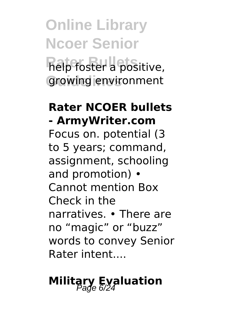# **Online Library Ncoer Senior Ratefoster a positive,** growing environment

### **Rater NCOER bullets - ArmyWriter.com**

Focus on. potential (3 to 5 years; command, assignment, schooling and promotion) • Cannot mention Box Check in the narratives. • There are no "magic" or "buzz" words to convey Senior Rater intent....

# **Military Evaluation**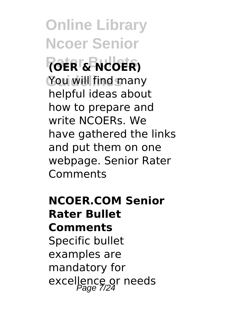**Online Library Ncoer Senior Rater Bullets (OER & NCOER)** You will find many helpful ideas about how to prepare and write NCOERs. We have gathered the links and put them on one webpage. Senior Rater Comments

**NCOER.COM Senior Rater Bullet Comments** Specific bullet examples are mandatory for excellence or needs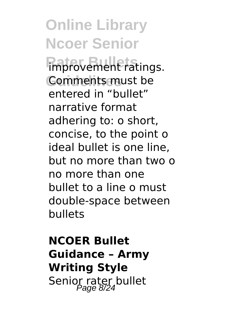**Online Library Ncoer Senior Ration** Comments must be entered in "bullet" narrative format adhering to: o short, concise, to the point o ideal bullet is one line, but no more than two o no more than one bullet to a line o must double-space between bullets

### **NCOER Bullet Guidance – Army Writing Style** Senior rater bullet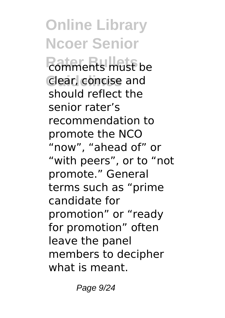**Online Library Ncoer Senior Ratificants** must be **Clear, concise and** should reflect the senior rater's recommendation to promote the NCO "now", "ahead of" or "with peers", or to "not promote." General terms such as "prime candidate for promotion" or "ready for promotion" often leave the panel members to decipher what is meant.

Page 9/24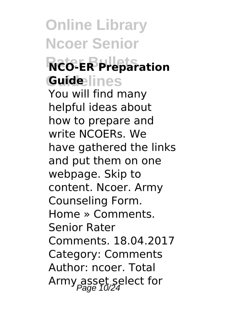# **Online Library Ncoer Senior Rater Bullets NCO-ER Preparation Guidelines Guide**

You will find many helpful ideas about how to prepare and write NCOERs. We have gathered the links and put them on one webpage. Skip to content. Ncoer. Army Counseling Form. Home » Comments. Senior Rater Comments. 18.04.2017 Category: Comments Author: ncoer. Total Army asset select for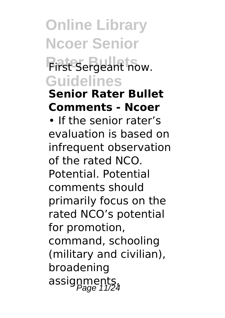### **First Sergeant now. Guidelines**

#### **Senior Rater Bullet Comments - Ncoer**

• If the senior rater's evaluation is based on infrequent observation of the rated NCO. Potential. Potential comments should primarily focus on the rated NCO's potential for promotion, command, schooling (military and civilian), broadening assignments,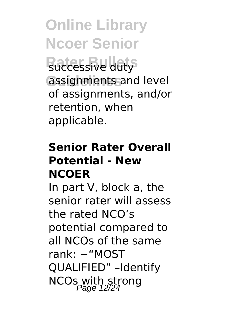**Ruccessive duty** assignments and level of assignments, and/or retention, when applicable.

#### **Senior Rater Overall Potential - New NCOER**

In part V, block a, the senior rater will assess the rated NCO's potential compared to all NCOs of the same rank: −"MOST QUALIFIED" –Identify NCOs with strong<br>Page 12/24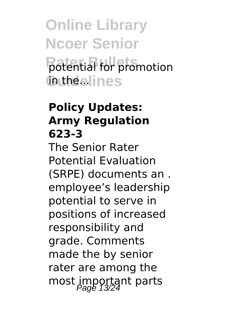**Online Library Ncoer Senior Potential for promotion in the elines** 

#### **Policy Updates: Army Regulation 623-3**

The Senior Rater Potential Evaluation (SRPE) documents an . employee's leadership potential to serve in positions of increased responsibility and grade. Comments made the by senior rater are among the most important parts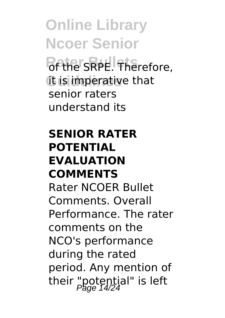**Online Library Ncoer Senior** *Rethe SRPE.* Therefore, **it is imperative that** senior raters understand its

#### **SENIOR RATER POTENTIAL EVALUATION COMMENTS**

Rater NCOER Bullet Comments. Overall Performance. The rater comments on the NCO's performance during the rated period. Any mention of their "potential" is left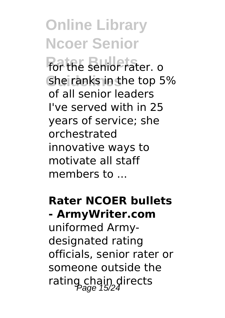**Rater Bullets** for the senior rater. o She ranks in the top 5% of all senior leaders I've served with in 25 years of service; she orchestrated innovative ways to motivate all staff members to ...

**Rater NCOER bullets - ArmyWriter.com** uniformed Army-

designated rating officials, senior rater or someone outside the rating chain directs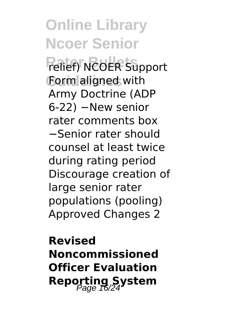**Online Library Ncoer Senior Relief**) NCOER Support Form aligned with Army Doctrine (ADP 6-22) −New senior rater comments box −Senior rater should counsel at least twice during rating period Discourage creation of large senior rater populations (pooling) Approved Changes 2

**Revised Noncommissioned Officer Evaluation Reporting System**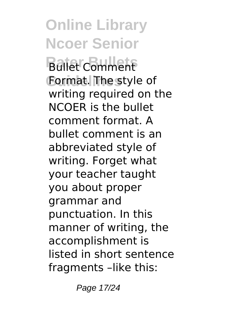**Bullet** Comment **Guidelines** Format. The style of writing required on the NCOER is the bullet comment format. A bullet comment is an abbreviated style of writing. Forget what your teacher taught you about proper grammar and punctuation. In this manner of writing, the accomplishment is listed in short sentence fragments –like this:

Page 17/24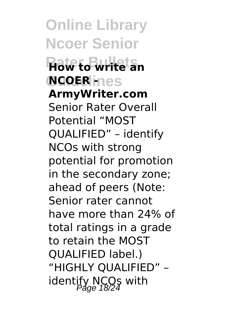**Online Library Ncoer Senior Rater Bullets How to write an**  $NCOER$ **ines ArmyWriter.com** Senior Rater Overall Potential "MOST QUALIFIED" – identify NCOs with strong potential for promotion in the secondary zone; ahead of peers (Note: Senior rater cannot have more than 24% of total ratings in a grade to retain the MOST QUALIFIED label.) "HIGHLY QUALIFIED" – identify NCO<sub>S</sub> with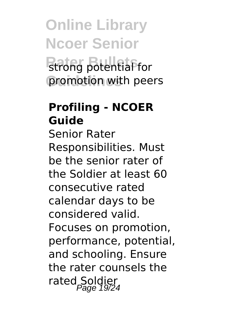# **Online Library Ncoer Senior Rationg** potential for promotion with peers

#### **Profiling - NCOER Guide**

Senior Rater Responsibilities. Must be the senior rater of the Soldier at least 60 consecutive rated calendar days to be considered valid. Focuses on promotion, performance, potential, and schooling. Ensure the rater counsels the rated Soldier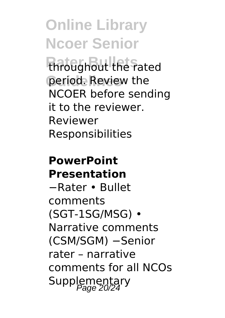throughout the rated period. Review the NCOER before sending it to the reviewer. Reviewer Responsibilities

#### **PowerPoint Presentation**

−Rater • Bullet comments (SGT-1SG/MSG) • Narrative comments (CSM/SGM) −Senior rater – narrative comments for all NCOs Supplementary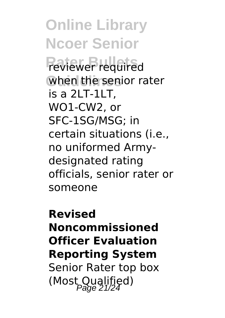**Online Library Ncoer Senior Reviewer** required when the senior rater is a 2LT-1LT, WO1-CW2, or SFC-1SG/MSG; in certain situations (i.e., no uniformed Armydesignated rating officials, senior rater or someone

**Revised Noncommissioned Officer Evaluation Reporting System** Senior Rater top box (Most Qualified)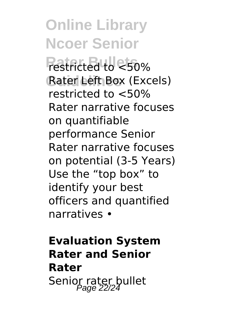**Online Library Ncoer Senior Restricted to <50%** Rater Left Box (Excels) restricted to <50% Rater narrative focuses on quantifiable performance Senior Rater narrative focuses on potential (3-5 Years) Use the "top box" to identify your best officers and quantified narratives •

**Evaluation System Rater and Senior Rater** Senior rater bullet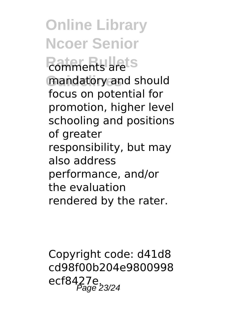**Rothments** are ts mandatory and should focus on potential for promotion, higher level schooling and positions of greater responsibility, but may also address performance, and/or the evaluation rendered by the rater.

Copyright code: d41d8 cd98f00b204e9800998 ecf8427e. Page 23/24